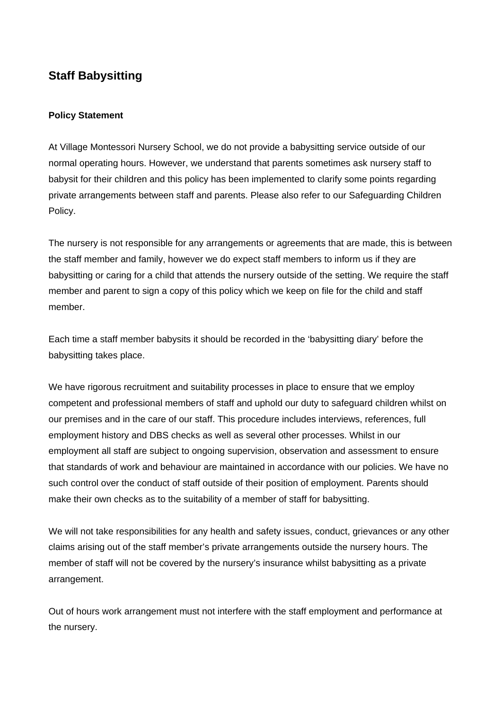## **Staff Babysitting**

## **Policy Statement**

At Village Montessori Nursery School, we do not provide a babysitting service outside of our normal operating hours. However, we understand that parents sometimes ask nursery staff to babysit for their children and this policy has been implemented to clarify some points regarding private arrangements between staff and parents. Please also refer to our Safeguarding Children Policy.

The nursery is not responsible for any arrangements or agreements that are made, this is between the staff member and family, however we do expect staff members to inform us if they are babysitting or caring for a child that attends the nursery outside of the setting. We require the staff member and parent to sign a copy of this policy which we keep on file for the child and staff member.

Each time a staff member babysits it should be recorded in the 'babysitting diary' before the babysitting takes place.

We have rigorous recruitment and suitability processes in place to ensure that we employ competent and professional members of staff and uphold our duty to safeguard children whilst on our premises and in the care of our staff. This procedure includes interviews, references, full employment history and DBS checks as well as several other processes. Whilst in our employment all staff are subject to ongoing supervision, observation and assessment to ensure that standards of work and behaviour are maintained in accordance with our policies. We have no such control over the conduct of staff outside of their position of employment. Parents should make their own checks as to the suitability of a member of staff for babysitting.

We will not take responsibilities for any health and safety issues, conduct, grievances or any other claims arising out of the staff member's private arrangements outside the nursery hours. The member of staff will not be covered by the nursery's insurance whilst babysitting as a private arrangement.

Out of hours work arrangement must not interfere with the staff employment and performance at the nursery.